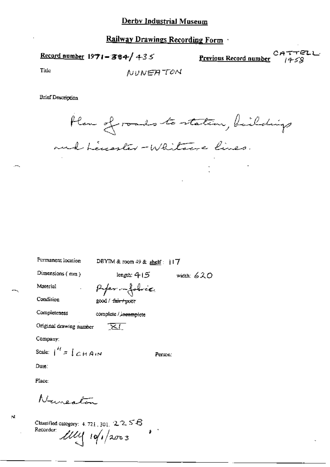Record number  $1971 - 384 / 435$ 

Previous Record number

TTELL

Title

NUNEATON

**Brief Description** 

Plan of roads to station, buildings and herester-Whitewe lines.

| Permanent location                         | DBYIM & room $49$ & shelf: $117$ |              |
|--------------------------------------------|----------------------------------|--------------|
| Dimensions $(mn)$                          | length: 4 ( 5                    | width: $620$ |
| Material                                   | Paper impobrée                   |              |
| Condition                                  | good / f <del>air / poor</del>   |              |
| Completeness                               | complete / incomplete            |              |
| Original drawing number                    | _ <del>×</del> ।                 |              |
| Company:                                   |                                  |              |
| Scale: $\int_0^H z \int \mathcal{L} H A/N$ |                                  | Person:      |
| Date:                                      |                                  |              |
| Place:                                     |                                  |              |
| Nuncaton                                   |                                  |              |

Classified category:  $4.721$ ,  $301$ ,  $2.256$ Recorder:  $111111001/2003$ 

УÌ,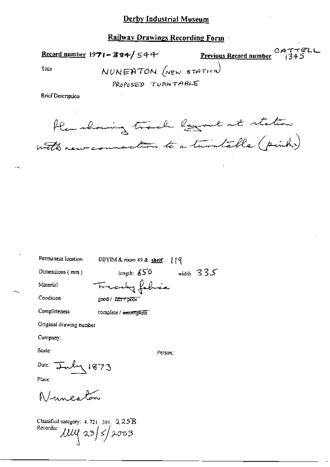### **Railway Drawings Recording Form**

Title

Record number 1971-384/544 Previous Record number

CATTELL<br> $1345$ 

NUNEATON (NEW STATION)

PROPOSED TORNTABLE

**Brief Description** 

flamshowing track loggert at station with new connection to a turn table ( pink)

Permanent Iocation

DBYIM & room 49 & shelf:  $19$ 

Dimensions  $(mn)$ 

length:  $\angle$  50 width: 335 Tracely fabric

Material

Condition

Completeness

good / fair / poor

complete / incomplete

Original drawing number

Company:

Scale:

Person:

Date:  $\frac{1}{2}mly$  1873

Place:

Numerlan

Classified category:  $4.721 \cdot 301$ ,  $2.25B$ Recorder:  $\mu$ uq 23/5/2003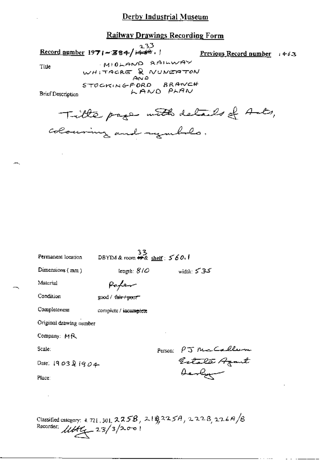## **Railway Drawings Recording Form**

 $233$ Record number  $1971 - 384 / \sqrt{466}$ ,

Previous Record number  $+63$ 

Title

MIDLAND RAILWAY WHITACRE & NUNERTON STOCKINGFORD BRANCH

**Brief Description** 

Tille page with details of Ants, colouring and rymble.

LAND PLAN

| Permanent location      | 33<br>DBYIM & room <del>#%</del> shelf: 560.1 |         |                                                                         |
|-------------------------|-----------------------------------------------|---------|-------------------------------------------------------------------------|
| Dimensions (mm)         | length: $8/0$                                 |         | width: 535                                                              |
| Material                | Paper                                         |         |                                                                         |
| Condition               | good / <del>air / po</del> or                 |         |                                                                         |
| Completeness            | complete / incomplete                         |         |                                                                         |
| Original drawing number |                                               |         |                                                                         |
| Company: MR             |                                               |         |                                                                         |
| Scale:                  |                                               | Person: | PJ McCollum<br>Estata Azant                                             |
| Date: 1903&1904         |                                               |         |                                                                         |
| Place:                  |                                               |         | Derlyn                                                                  |
|                         |                                               |         |                                                                         |
|                         |                                               |         |                                                                         |
|                         |                                               |         | Classified category: 4.721, 301, $2,358$ , $2.19,3257$ , $2,228,2267/8$ |

Recorder.  $11446 - 23/3/200$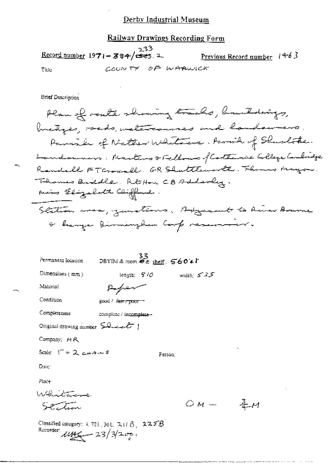### Railway Drawings Recording Form

 $23$ Record number  $1971 - 384/\overline{G}$ <u>Previous Record number</u>  $(4-6)$ COUNTY OF WARWICK Title

**Brief Description** 

Plan of route showing tracks, buildings, bretizes, roads, watercourses and houdowners. Parish of Netter Whitecase. Parish of Shurlothe. Landouners: Martins & Fellows of Catterine College Cembridge Randell FTGroundl. GR Shuttlemorth. Themas Mayon. Thomas Buddle, Rt Hon CB Adderly. mins Elizabeth Cliffand. Station was, zumations. Adgresset to River Bourne & hanger Birmingham Corp reservoir.

妄材

| Permanent location               | - 33<br>DBYIM&room 安逸 <u>shelf</u> : <b>560</b> をL       |              |
|----------------------------------|----------------------------------------------------------|--------------|
| Dimensions $(mn)$                | leagth: $9/0$                                            | width: $535$ |
| Material                         |                                                          |              |
| Condition                        | good / <del>fair / poor</del>                            |              |
| Completeness                     | complete / incomplete-                                   |              |
| Original drawing number $50 - 1$ |                                                          |              |
| Company: MR                      |                                                          |              |
| Scale: $1'' = 2$ c+4. $\sim$ 5   |                                                          | Ferson:      |
| Date:                            |                                                          |              |
| Placer                           |                                                          |              |
| Whitame                          |                                                          |              |
| مستوس                            |                                                          | ○м.          |
| Recorder: $1146 - 23/325$        | Classified category: $4, 724, 304, 741$ $\beta$ , $225B$ |              |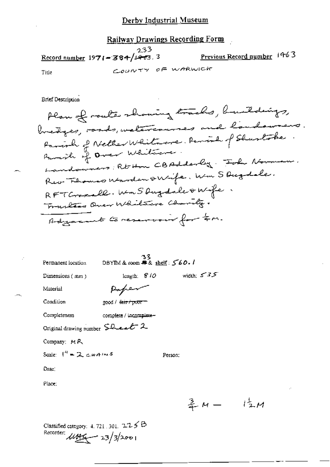# Railway Drawings Recording Form

 $233$ Previous Record number 1963 Record number  $1971 - 384/1463.3$ COUNTY OF WARWICK Title

**Brief Description** 

Plan of route showing tracks, buildings, bredges, roads, welcommes and landowners. Parish of Nether Whitecore. Parish of Shustobe Landowners; Rt-Hon CBAdderly Toke Norman. Rev Florenco Marden swife, um S Duzdele. RFT Crossall. Wm S Dug dale & Wife. Tractics Quer Whitecre Charity. Adjacent to reservoir for tem.

| Permanent location                                                             | 33<br>DBYIM & room # & shelf: $560.1$ |         |              |  |
|--------------------------------------------------------------------------------|---------------------------------------|---------|--------------|--|
| Dimensions (mm)                                                                | length: $810$                         |         | width: $535$ |  |
| Material                                                                       | Paper                                 |         |              |  |
| Condition                                                                      | good / <del>fair / poor</del>         |         |              |  |
| Completeness                                                                   | complete / incomplete-                |         |              |  |
| Original drawing number $\mathsf{S}\mathsf{D}\mathsf{L}\mathsf{L}\mathsf{L}$ 2 |                                       |         |              |  |
| Company: $M R$                                                                 |                                       |         |              |  |
| Scale: $1'' = 2$ chains                                                        |                                       | Person: |              |  |
| Date:                                                                          |                                       |         |              |  |
| Place:                                                                         |                                       |         |              |  |
|                                                                                |                                       |         | 主 M 一        |  |

Classified category:  $4.721$ ,  $301$ ,  $2.75$   $\Theta$ Recorder:  $\mu$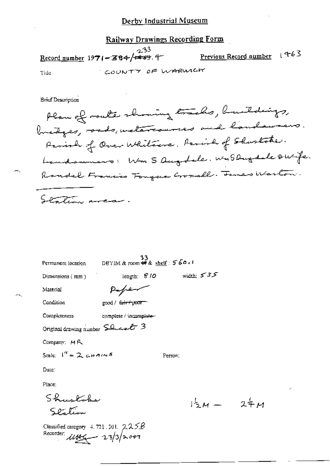## Railway Drawings Recording Form

 $233$ Previous Record number 1963 Record number 1971-384/+59.4 COUNTY OF WARMICH Tide

**Brief Description** 

Plan of route showing tracks, buildings, bredges, ands, welescommes and landawners. Parish of Over Whitewa. Parish of Shustoke. Landonnars: Wm S Augdele. WMS Dugdele Ourfe. Randal Francis Tongue Croscall. Tomes Weston. Station area.

| Permanent location                                                       | $33$<br>DBYIM & room #8 & shelf: $560.1$ |              |
|--------------------------------------------------------------------------|------------------------------------------|--------------|
| Dimensions (mm)                                                          | length: $$10$                            | width: $535$ |
| Material                                                                 | paper                                    |              |
| Condition                                                                | good / <del>fair / poor</del>            |              |
| Completeness                                                             | complete / incomplete-                   |              |
| Original drawing number $\mathsf{S}\mathsf{Q}_{\mathsf{ex}}\mathsf{C}$ 3 |                                          |              |
| Company: $M R$                                                           |                                          |              |
| Scale: $I'' = 2$ chains                                                  |                                          | Person:      |
| Date:                                                                    |                                          |              |
| Place:                                                                   |                                          |              |
| Shuskohe                                                                 |                                          |              |
| Scatio                                                                   |                                          |              |

Classified category 4, 721, 301,  $225B$ Recorder:  $11462 - 23/32007$ 

 $244$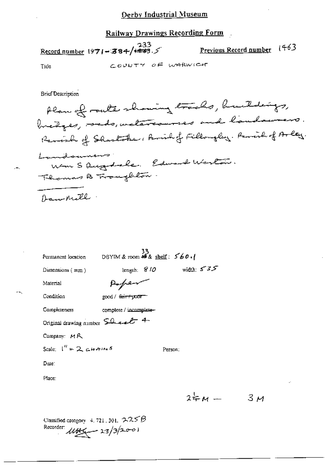# Railway Drawings Recording Form

 $\frac{233}{\text{Record number}}$  1971-384/<del>448</del>.5 <u>Previous Record number</u> (463 COUNTY OF WARWICHT Tide

**Brief Description** 

Plan of route showing tracks, buildings, bredges, roads, weleteraunces and landaurers. Ramish of Sharlother, Aminhof Fillongley. Remish of Arley. Lambourners Wm S Ques dale, Edward Waston. Thomas B Troughton Danvenill.

| Permanent location                                             | 33<br>DBYIM & room ## & shelf: $560.$ |             |              |
|----------------------------------------------------------------|---------------------------------------|-------------|--------------|
| Dimensions $(mn)$                                              |                                       | length: 810 | width: $575$ |
| Material                                                       | Pape                                  |             |              |
| Condition                                                      | good / <del>fair / poor</del>         |             |              |
| Completeness                                                   | complete / incomplete-                |             |              |
| Original drawing number $\mathsf{S}\mathsf{R}\in\mathcal{L}$ 4 |                                       |             |              |
| Company: $MR$                                                  |                                       |             |              |
| Scale: $1'' = 2$ chains                                        |                                       | Person:     |              |
| Date:                                                          |                                       |             |              |
| Place:                                                         |                                       |             |              |
|                                                                |                                       |             | $24 - M -$   |

 $3\mu$ 

Classified category 4, 721, 301,  $225B$ Recorder:  $\mu$ the 13/3/2001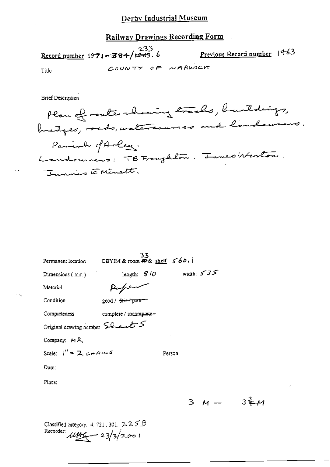Record number 1971-384/1463.6 Previous Record number 1463 COUNTY OF WARWICK Title

**Brief Description** 

Plan of router showing tracks, buildings, bretges, roads, watercourses and landowners. Ramionly of Arley: Landouniers: TB Franghlow. James Weston. Junis Eninett.

| Permanent location                                                                    | DBYIM & room $\oplus$ & shelf: $\leq$ 60. | 33 |                            |     |  |
|---------------------------------------------------------------------------------------|-------------------------------------------|----|----------------------------|-----|--|
| Dimensions ( mm ) -                                                                   |                                           |    | length: $810$ width: $535$ |     |  |
| Material                                                                              | Pope                                      |    |                            |     |  |
| Condition                                                                             | good / <del>fair / po</del> or            |    |                            |     |  |
| Completeness complete / incomplete—                                                   |                                           |    |                            |     |  |
| Original drawing number $\mathsf{SQ}_\mathsf{lead}$                                   |                                           |    |                            |     |  |
| Company: MR                                                                           |                                           |    |                            |     |  |
| Scale: ("=スc+4m5                                                                      |                                           |    | Person:                    |     |  |
| Date:                                                                                 |                                           |    |                            |     |  |
| Place:                                                                                |                                           |    |                            |     |  |
|                                                                                       |                                           |    |                            | 3 M |  |
| Classified category: 4, 721, 301, $2.25B$<br>Recorder: $\mu_{\frac{1}{2}} = 23/3/200$ |                                           |    |                            |     |  |

 $3\frac{3}{5}$  $\mu$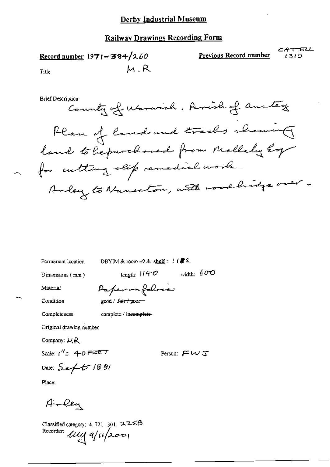### **Railway Drawings Recording Form**

CATTELL Previous Record number Record number  $1971 - 384/260$  $1310$ M.R Title

**Brief Description** 

Country of Marwich. Parish of anstey Plan of land and tracks showing land to be purchased from Mallely hop for cutting slip remedial work. Ander to Numerton, with road bridge over

Permanent location

DBYIM & room  $49$  & shelf:  $1/2$ 

Dimensions (mm)

length:  $1140$  width:  $600$ 

Person:  $F \cup S$ 

Material

Condition

Paperonfolosie good / fair / poor-

Completeness

complete / incomplete-

Original drawing number

Company:  $MR$ 

Scale:  $1'' = 4 - 0$  Ferr  $T$ 

Date:  $Set$  1881

Place:

Arley

Classified category: 4, 721, 301, 2, 2, 5, B Recorder: *llly* q/11/2001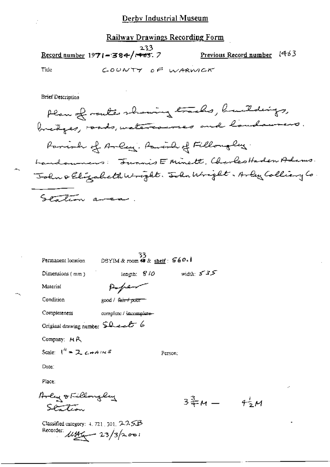Record number 1971-384/ $\sqrt{463}$ . 7

Previous Record number 1463

 $4\frac{1}{2}M$ 

Tide

COUNTY OF WARMER

**Brief Description** 

Plan of route showing tracks, buildings, bredges, roads, watercourses and landswears. Parish of Arley. Parish of Filloughy. Landouners: Junnis E Minett, Charles Haden Adams. John & Elizabeth Wright. John Wright. Arley Colliany Co Station area.

| Permanent location                                     | 33<br>DBYIM & room 等 & <u>sheif</u> : <b>560 - I</b> |             |
|--------------------------------------------------------|------------------------------------------------------|-------------|
| Dimensions (mm)                                        | length: 810                                          | width $535$ |
| Material                                               |                                                      |             |
| Candirion                                              | good / <del>fair / pour</del>                        |             |
| Completeness                                           | complete / incomplete-                               |             |
| Original drawing number Sheet 6                        |                                                      |             |
| Company: $M R$                                         |                                                      |             |
| Scale: $1^{\prime\prime}$ = 2 $\epsilon$ + A $\sim$ 5  |                                                      | Person:     |
| Date:                                                  |                                                      |             |
| Place:                                                 |                                                      |             |
| Irly & Fillonglay<br>SPT                               |                                                      | 3류м —       |
| Classified category: 4, 721, 501, 2-2-55B<br>Recorder: | $\mu_{\frac{M}{2}} - 23/3$ /2001                     |             |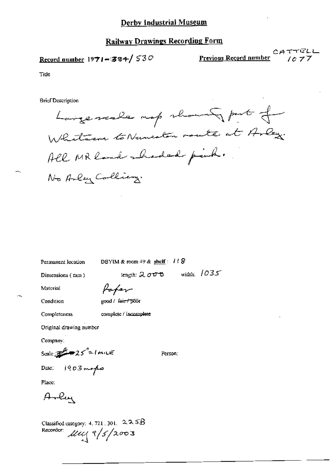Record number 1971-384/530

Previous Record number

Title

**Brief Description** 

Largemente map showers put of Whitever to Numerlân route at Arley. All MR land shoded pinh. No Arley Colliery.

Permanent location

DBYIM & room 49 & shelf:  $118$ 

Dimensions (mm)

length:  $2000$  width:  $1035$ 

Material

Condition

Completeness

Pofer good / fair / poor

complete / incomplete

Original drawing number

Company:

Scale:  $25'' = 1 m \mu \pi$ 

Person:

Date:  $1903$  maps

Place:

Arley

Classified category: 4, 721, 301,  $225B$ Recorder  $\mu$  $\mu$ q 9/5/2003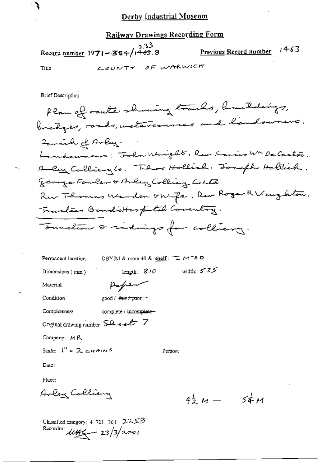Railway Drawings Recording Form

233  $1463$ Record number 1971-384/1463.8 Previous Record number COUNTY OF WARWICK Tide

**Brief Description** 

Plan of route showing tracks, buildings, bredges, roads, welascourses and landowners. Panish of Arley. Landounars; John Wright, Rev. Francis WM De Castro. Anden Calliany Co. These Hollich. Joseph Hollick. George Fowler & Arley Colling Colle. Rur Thomas Werden & Wyfe, Rev Roger R Vaughton. Trastees Bondottorpital Coventry. Sunction & sidings for colliancy.

| Permanent location                | DBYIM & room 49 & <u>shelf</u> : 工 M1 " <b>- 0</b> |              |  |  |  |
|-----------------------------------|----------------------------------------------------|--------------|--|--|--|
| Dimensions (mm)                   | length: $8/0$                                      | width: $535$ |  |  |  |
| Макепал                           | Paper                                              |              |  |  |  |
| Condition                         | good / <del>fair / poor</del>                      |              |  |  |  |
| Completeness                      | complete / incomplete-                             |              |  |  |  |
| Original drawing number $SLelE$ 7 |                                                    |              |  |  |  |
| Company: $M R$                    |                                                    |              |  |  |  |
| Scale: $1'' = 2$ chains           |                                                    | Person:      |  |  |  |

Date:

Place:

Arlen Colliany

 $4\frac{1}{2} M - 54 M$ 

Classified category:  $4, 721, 301, 2.3.5B$ Recorder  $\mu$ Here 23/3/2001

ंदू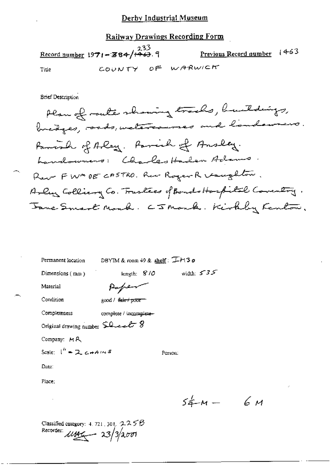# Railway Drawings Recording Form

Record number 1971-384/ $\frac{233}{123}$ . Previous Record number 1463 COUNTY OF WARWICH Title

**Brief Description** 

| Permanent location                          |                        | DBYIM & room 49 & shelf: $I$ - $M3$ o |            |  |
|---------------------------------------------|------------------------|---------------------------------------|------------|--|
| Dimensions (mm)                             |                        | iength: $810$                         | width: 535 |  |
| Material                                    |                        |                                       |            |  |
| Condition                                   | good / tarry poor      |                                       |            |  |
| Completeness                                | complete / incomplete- |                                       |            |  |
| Original drawing number SQ as E 8           |                        |                                       |            |  |
| Company: MR                                 |                        |                                       |            |  |
| Scale: $\int_0^H = 2 \epsilon + A/\sqrt{5}$ |                        | Person:                               |            |  |
| Date:                                       |                        |                                       |            |  |
| Place:                                      |                        |                                       |            |  |
|                                             |                        |                                       |            |  |
|                                             |                        |                                       | $54 - M -$ |  |
| Classified category: 4, 721, 301, $2255B$   |                        |                                       |            |  |

Recorder:  $\mu$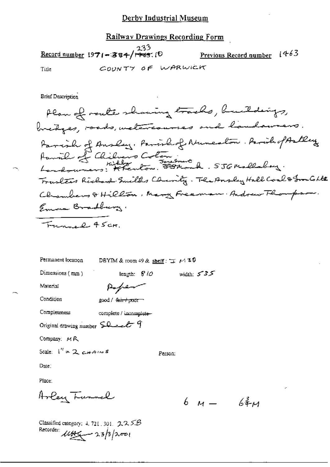### Railway Drawings Recording Form

233 Previous Record number 1463 Record number 1971-384/ $\sqrt{1+35}$ . (D) COUNTY OF WARWICK Title

**Brief Description** 

Plan of route showing tracks, buildings, bretges, roads, welcommes and landawers. Parcial of Ansley, Parishof Nuncation. ParishopAstley Paris of Chilvers Colombia . 556 mallalay. Trarletes Richard Smilths Charity. The Ansley Hall Coal & Granto Lte Chambers & Hillon, Mary Freeman. Andrew Flompson. Emma Bradburg. Funnel 45cm.

Person:

| Fermanent location        | DBYIM & room 49 & shelf: $\pm$ $\mu$ 3 $\theta$ |                |
|---------------------------|-------------------------------------------------|----------------|
| Dimensions $(\text{ann})$ | length: $810$                                   | width: $5 - 3$ |
| Material                  | Popen                                           |                |

Condition

good / fair+poor

Completeness complete / incomplete-

Original drawing number  $\text{SL-}\text{-}\text{-}\text{G}$ 

Company: MR

Scale:  $1'' = 2$  cHAINS

Dute:

Place:

Arley Turnel

6  $\mu$  6  $\frac{2}{3}$ 

5

Classified category:  $4.721.301.$   $2.2.5B$ Recorder:  $\mu$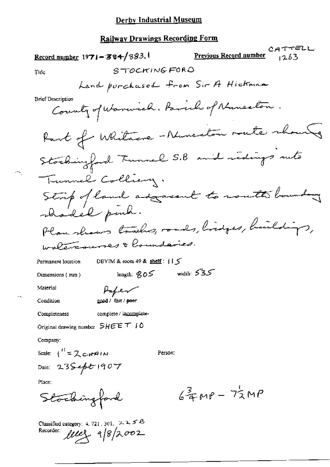**Railway Drawings Recording Form** 

CATTELL Record number  $1971 - 384/383.1$ Previous Record number  $1263$ STOCKINGFORD Tide Land porchased from Sir A Hickman **Brief Description** County of Warwich. Parish of Numerton Part of Whitacre-Numeritan mete shounts Stockingford Tunnel S.B and redings rute Tunnel Colliany. Strip of land adjacent to south houndary shadel puch. Plan shows tracks, roads, lindges, buildings, walercourses & houndaries. DBYIM & room 49 & shelf:  $|1 \le$ Permanent location length:  $805$  width:  $535$ Dimensions (mm) Material Paper Condition good / fair / poer complete / incomplete-Completeness Original drawing number  $SHEE T I 0$ Company: Scale:  $I^{\prime\prime} = 2cH^{\prime}$ Person: Date: 235ept 1907 Place:  $6\frac{3}{4}MP - 72MP$ Stockingford Classified category:  $4.721,301, 2.25B$ Recorder: **Mely** 9/8/2002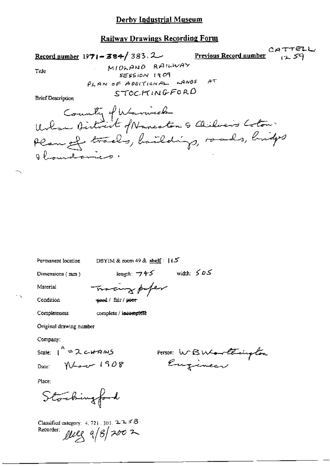#### **Railway Drawings Recording Form**

CATTELL Record number  $1971 - 384 / 383$ . 2 Previous Record number  $12.59$ MIDLAND RAILWAY Title SESSION 1909 PLAN OF ADDITIONAL WANDS AT STOCKINGFORD **Brief Description** County of Warnick<br>Wilcom Birtriet of Nancaton & Chilvers Coton Plan of trades, haildings, roads, bridges 8 hourdome

Permanent location DBYIM & room 49 & shelf:  $|(5)$ 

Dimensions (mm)

length:  $\neg 95$  width:  $505$ 

Condition

Completeness

Material

Tracing paper good / fair / poer

complete / incomplete

Original drawing number

Company:

Scale:  $1^{k}$  = 2 c+AMS Date:  $N+208$ 

Person: WBWorthington

Place:

Stockingford

Classified category:  $4, 721, 301, 2, 2, 5, 6$ Recorder:  $\mu$ eg  $9/8$  2002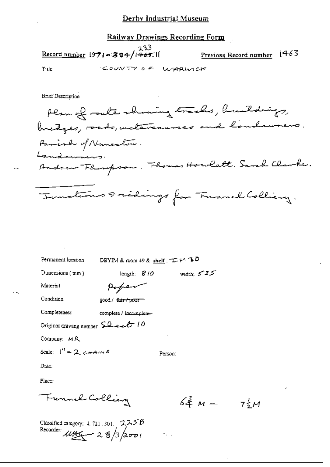### **Railway Drawings Recording Form**

Record number 1971-384/ $(465.1)$ 

1463 Previous Record number

Tide

COUNTY OF WARMICK

**Brief Description** 

Plan of route showing tracks, buildings, bretges, roads, weletercourses and landsweers. Parish of Numerlow. andamicos Andrew Fhompson. Fhomas Howlett. Sarah Clarke. Junctions & sidings for Tunnel Colliery.

Permanent location

DBYIM & room 49 & shelf :  $\pm$  + 30

Dimensions (mm)

length;  $810$  width;  $535$ 

Material

| $p_{\sigma}$ pen |  |
|------------------|--|
|                  |  |

Condition

| good/ <del>fair/pour</del> |
|----------------------------|
|                            |

Completeness complete / incomplete-

Original drawing number  $\text{SQ}_\text{ex}\text{C}$  / 0

Company: MR

Scale:  $I'' = 2 \cosh 4i \sqrt{5}$ 

Person:

 $\mathcal{H}_{\mathcal{A}}$  .

Date:

Place:

Funnel Colling

 $64^2$  M  $-$  7/2M

Classified category:  $4, 721, 301, 2, 2, 5, B$ Recorder  $\mu$ Aga - 28/3/2001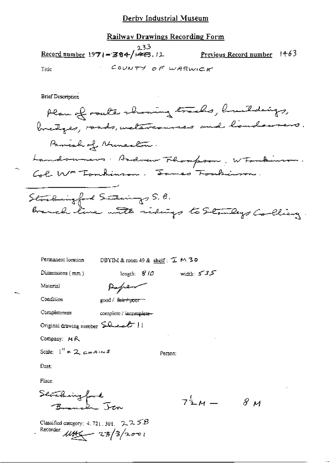# Railway Drawings Recording Form

 $233$ <br>Record number 1971-384/1473, 12 Previous Record number 1463 COUNTY OF WARWICK Title

**Brief Description** 

| Permanent location | DBYIM & room 49 & shelf: $I$ M 30 |  |  |
|--------------------|-----------------------------------|--|--|
|--------------------|-----------------------------------|--|--|

Dimensions (mm)

width:  $575$ length:  $810$ 

Material

| Paper             |
|-------------------|
| $\cos A + \sin A$ |

| Condition | good / <del>fair / poor</del> |
|-----------|-------------------------------|
|           |                               |

| Completeness | complete / incomplete |
|--------------|-----------------------|
|--------------|-----------------------|

Original drawing number  $\Omega_{\text{total}}$  | |

Company: MR

Scale:  $1'' = 2$  chains

Person:

Date:

Place:

Search

 $7^{\frac{1}{2}}M - 8M$ 

Classified category: 4, 721, 301,  $2.25B$ Recorder  $\mu$ the  $\frac{23}{3}$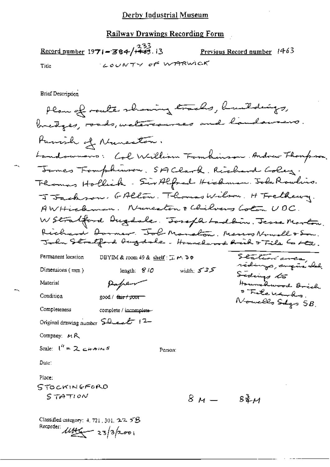### Railway Drawings Recording Form

Record number 1971-384/+43.13 Previous Record number 1463 LOUNTY OF WARWICK Title

**Brief Description** 

Plan of route showing tracks, buildings, bredges, roads, welercourses and landowners. Parish of Nuncator. Landownavs: Col William Fombuisson. Andrew Thompson. Tomes Fomphiuson. SA Clark. Richard Coley. Theomas Hollick - Sir Alfred Hickman. John Rowlins. J Jackson, GAllon, Thomas Wilson, H Frethewy. AWHickman. Nunestin & Chilvers Colon UDC. W Stratford Dugdale. Joseph Ladbin. Jesse Morton. Richard Dormer. Tol Manaton. Marson Nowall & Son. John Stratford bugdale. Hounchood hick of Tile C Ltd. Station area, Permanent location DBYIM & room 49 & shelf:  $\mathcal{I} \bowtie \mathcal{I}$ rédings, augméricale width:  $535$ Dimensions (mm) length:  $810$ Sedings to Hounchwood Brich Paper Material · Televards. Condition good / <del>fair / poor =</del> Nowello Salgo 5B. Completeness complete / incomplete-Original drawing number  $\mathsf{SQ}_\mathsf{ex}\mathscr{L}$  (2-Company: MR Scale:  $I^H = 2 \epsilon H A H S$ Person: Date: Place: STOCKINGFORD S TATION  $8M 8\frac{3}{4}$  $\mu$ Classified category:  $4, 721, 301, 2.2, 5B$ Recorder:  $\mu_{\text{max}}$  23/3/2001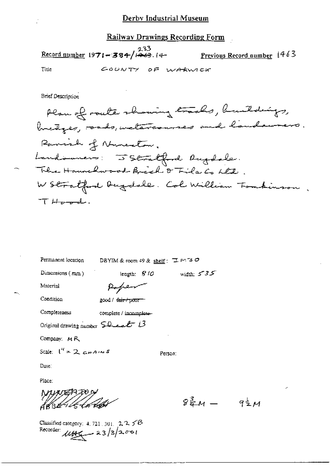Record number  $1971 - 384 / \frac{233}{1463}$ . 14-Previous Record number 1463 Title GOUNTY OF WARWICK

**Brief Description** 

Dimensions (mm)

width:  $5 - 35$ length: 810

Material

| Paper            |
|------------------|
| good / fair/poor |

Condition

Original drawing number  $\mathcal{L}_{\text{test}}$  13

Company: MR

Scale:  $1^{\prime\prime}$  = 2  $\alpha$ *+A* $\prime\prime\prime$  5

Person:

Date:

Place:

døBE<sup>276</sup>€

 $8\frac{3}{4}M - 9\frac{1}{2}M$ 

Classified category: 4, 721, 301,  $225B$ Recorder  $\mu_{\mathcal{H}} = 23/3/2.001$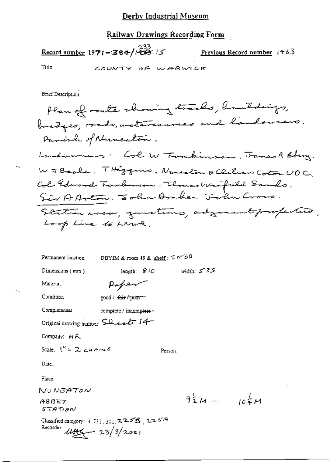## Railway Drawings Recording Form

Record number 1971-384/ $i\frac{233}{1207}$ . 15 Previous Record number 1463 Title COUNTY OF WARWICK

**Brief Description** 

Plan of route showing tracks, buildings, bredges, roads, welesses and landowners. Panish of Nuncation. Landsumers: Col W Formbinson. James R Eberg. W J Beale. Thiggins. Numeaton & Clubrers Coton UDC. Col Edward Temberson. Thomas Weapild Sands. Sir AArton. John Ander. John Cross. Station area, zumations, adjournt profections. Loop Line to LNWR.

| Permanent location                                                                      | DBYIM & room 49 & shelf: $T \sim 20$ |         |                   |      |  |
|-----------------------------------------------------------------------------------------|--------------------------------------|---------|-------------------|------|--|
| Dimensions $(mn)$                                                                       | length: $8/0$                        |         | width: $535$      |      |  |
| Material                                                                                | Paper                                |         |                   |      |  |
| Condition                                                                               | good / <del>fair / poor =</del>      |         |                   |      |  |
| Completeness                                                                            | complete / incomplete -              |         |                   |      |  |
| Original drawing number $\mathcal{S}^{\Omega}$ and $\mathcal{E}$ 14                     |                                      |         |                   |      |  |
| Company: $M R$                                                                          |                                      |         |                   |      |  |
| Scale: $1'' = 2$ chains                                                                 |                                      | Person: |                   |      |  |
| Date:                                                                                   |                                      |         |                   |      |  |
| Place:                                                                                  |                                      |         |                   |      |  |
| NUNEATON                                                                                |                                      |         |                   |      |  |
| ABBEY<br>STATION                                                                        |                                      |         | $9\frac{1}{2}M -$ | 104H |  |
| Classified category: 4, 721, 301, $2255$ , $225A$<br>Recorder: $\mu$ the $\frac{23}{3}$ |                                      |         |                   |      |  |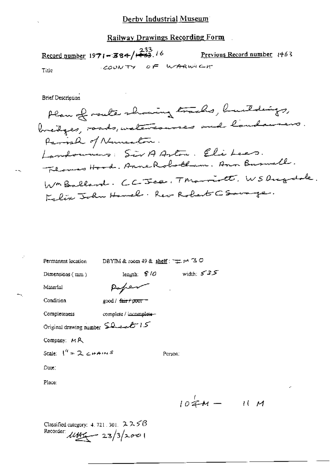Railway Drawings Recording Form

Record number 1971-384/ $\frac{233}{132}$ . 16 Previous Record number 1463 COUNTY OF WARWICHT Title

**Brief Description** 

Plan of route showing tracks, buildings, bretges, roads, wetercourses and landawers. Parish of Numerlow. Landonniers: SirAArton. Elisbees. Flowers Hood. Anne Robotham. Ann Buswell. WmBallard. CC-Jea. Thromatt. WSDugalde. Felix John Hanel. Reo Robert CSampe.

| Permanent location                 | DBYIM & room 49 & shelf: $\pm$ $\sim$ $\sim$ $\sim$ |            |           |
|------------------------------------|-----------------------------------------------------|------------|-----------|
| Dimensions $(mn)$                  | length: $8'$ / $\mathcal O$                         | width: 535 |           |
| Material                           | Poper                                               |            |           |
| Condition                          | good / fair / poor =                                |            |           |
| Completeness                       | complete / incomplete-                              |            |           |
| Original drawing number Sheet 15   |                                                     |            |           |
| Company: MR                        |                                                     |            |           |
| Scale: $1^k$ = 2 $\epsilon$ + AINS |                                                     | Person:    |           |
| Date:                              |                                                     |            |           |
| Place:                             |                                                     |            |           |
|                                    |                                                     |            |           |
|                                    |                                                     | $104M -$   | $\iota$ ( |

Classified category: 4, 721, 301,  $2258$ Recorder  $144 - 23/3/2001$